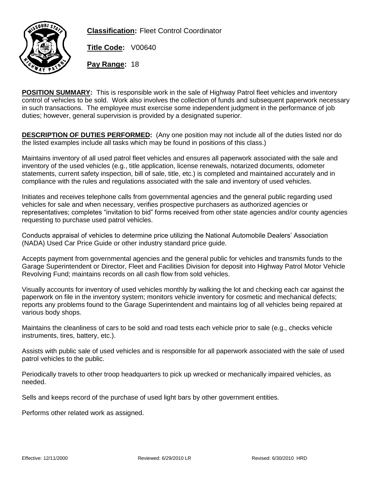

**Classification:** Fleet Control Coordinator

**Title Code:** V00640

**Pay Range:** 18

**POSITION SUMMARY:** This is responsible work in the sale of Highway Patrol fleet vehicles and inventory control of vehicles to be sold. Work also involves the collection of funds and subsequent paperwork necessary in such transactions. The employee must exercise some independent judgment in the performance of job duties; however, general supervision is provided by a designated superior.

**DESCRIPTION OF DUTIES PERFORMED:** (Any one position may not include all of the duties listed nor do the listed examples include all tasks which may be found in positions of this class.)

Maintains inventory of all used patrol fleet vehicles and ensures all paperwork associated with the sale and inventory of the used vehicles (e.g., title application, license renewals, notarized documents, odometer statements, current safety inspection, bill of sale, title, etc.) is completed and maintained accurately and in compliance with the rules and regulations associated with the sale and inventory of used vehicles.

Initiates and receives telephone calls from governmental agencies and the general public regarding used vehicles for sale and when necessary, verifies prospective purchasers as authorized agencies or representatives; completes "invitation to bid" forms received from other state agencies and/or county agencies requesting to purchase used patrol vehicles.

Conducts appraisal of vehicles to determine price utilizing the National Automobile Dealers' Association (NADA) Used Car Price Guide or other industry standard price guide.

Accepts payment from governmental agencies and the general public for vehicles and transmits funds to the Garage Superintendent or Director, Fleet and Facilities Division for deposit into Highway Patrol Motor Vehicle Revolving Fund; maintains records on all cash flow from sold vehicles.

Visually accounts for inventory of used vehicles monthly by walking the lot and checking each car against the paperwork on file in the inventory system; monitors vehicle inventory for cosmetic and mechanical defects; reports any problems found to the Garage Superintendent and maintains log of all vehicles being repaired at various body shops.

Maintains the cleanliness of cars to be sold and road tests each vehicle prior to sale (e.g., checks vehicle instruments, tires, battery, etc.).

Assists with public sale of used vehicles and is responsible for all paperwork associated with the sale of used patrol vehicles to the public.

Periodically travels to other troop headquarters to pick up wrecked or mechanically impaired vehicles, as needed.

Sells and keeps record of the purchase of used light bars by other government entities.

Performs other related work as assigned.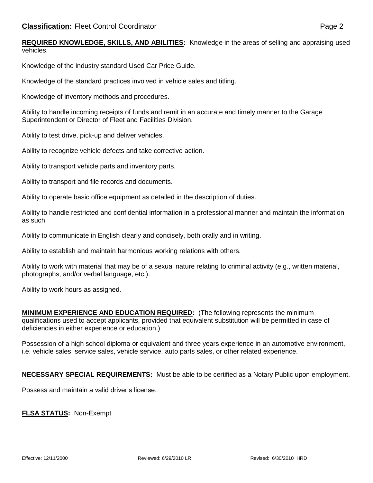Knowledge of the industry standard Used Car Price Guide.

Knowledge of the standard practices involved in vehicle sales and titling.

Knowledge of inventory methods and procedures.

Ability to handle incoming receipts of funds and remit in an accurate and timely manner to the Garage Superintendent or Director of Fleet and Facilities Division.

Ability to test drive, pick-up and deliver vehicles.

Ability to recognize vehicle defects and take corrective action.

Ability to transport vehicle parts and inventory parts.

Ability to transport and file records and documents.

Ability to operate basic office equipment as detailed in the description of duties.

Ability to handle restricted and confidential information in a professional manner and maintain the information as such.

Ability to communicate in English clearly and concisely, both orally and in writing.

Ability to establish and maintain harmonious working relations with others.

Ability to work with material that may be of a sexual nature relating to criminal activity (e.g., written material, photographs, and/or verbal language, etc.).

Ability to work hours as assigned.

**MINIMUM EXPERIENCE AND EDUCATION REQUIRED:** (The following represents the minimum qualifications used to accept applicants, provided that equivalent substitution will be permitted in case of deficiencies in either experience or education.)

Possession of a high school diploma or equivalent and three years experience in an automotive environment, i.e. vehicle sales, service sales, vehicle service, auto parts sales, or other related experience.

**NECESSARY SPECIAL REQUIREMENTS:** Must be able to be certified as a Notary Public upon employment.

Possess and maintain a valid driver's license.

**FLSA STATUS:** Non-Exempt